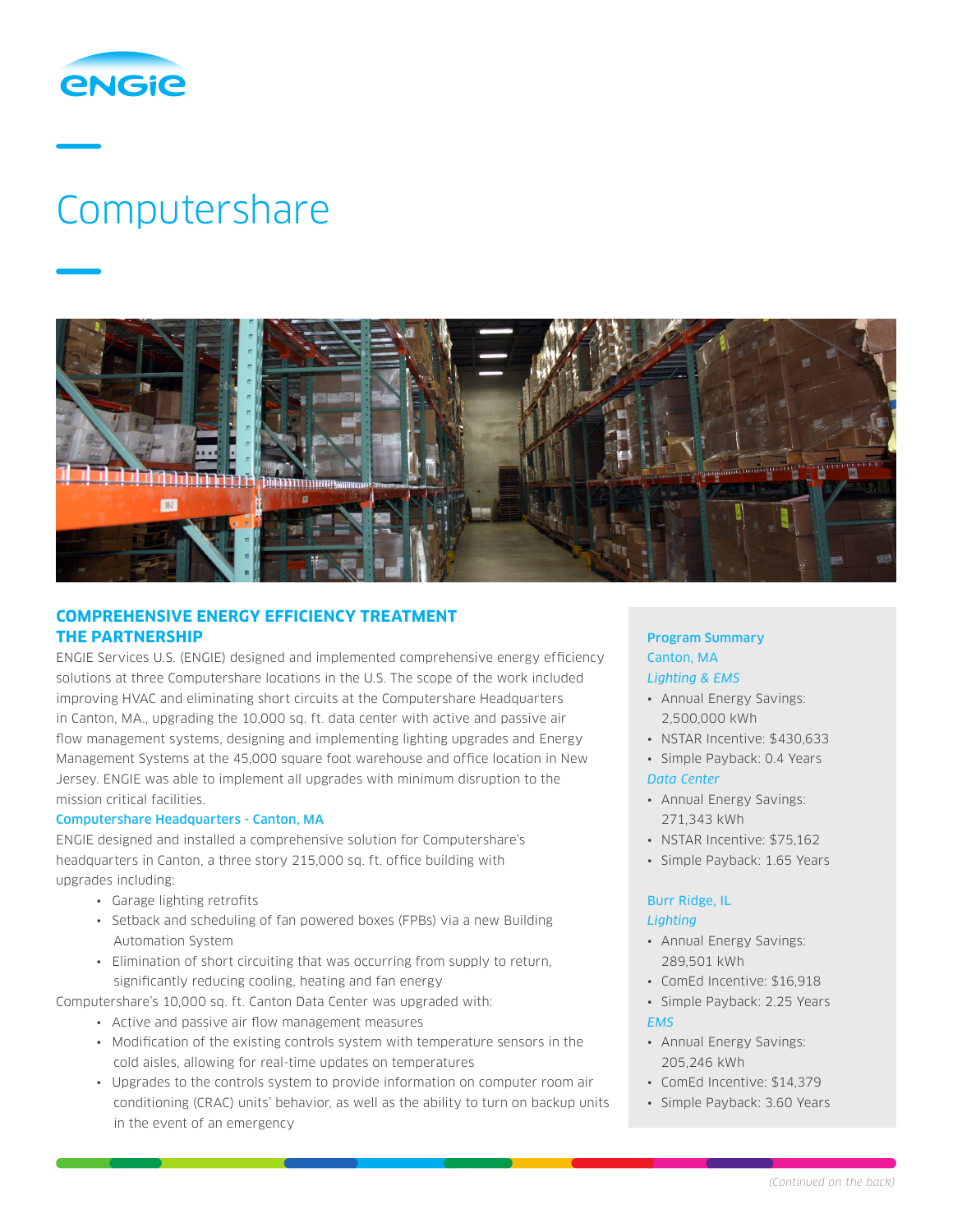

# Computershare



# **COMPREHENSIVE ENERGY EFFICIENCY TREATMENT THE PARTNERSHIP**

ENGIE Services U.S. (ENGIE) designed and implemented comprehensive energy efficiency solutions at three Computershare locations in the U.S. The scope of the work included improving HVAC and eliminating short circuits at the Computershare Headquarters in Canton, MA., upgrading the 10,000 sq. ft. data center with active and passive air flow management systems, designing and implementing lighting upgrades and Energy Management Systems at the 45,000 square foot warehouse and office location in New Jersey. ENGIE was able to implement all upgrades with minimum disruption to the mission critical facilities.

## Computershare Headquarters - Canton, MA

ENGIE designed and installed a comprehensive solution for Computershare's headquarters in Canton, a three story 215,000 sq. ft. office building with upgrades including:

- Garage lighting retrofits
- Setback and scheduling of fan powered boxes (FPBs) via a new Building Automation System
- Elimination of short circuiting that was occurring from supply to return, significantly reducing cooling, heating and fan energy

Computershare's 10,000 sq. ft. Canton Data Center was upgraded with:

- Active and passive air flow management measures
- Modification of the existing controls system with temperature sensors in the cold aisles, allowing for real-time updates on temperatures
- Upgrades to the controls system to provide information on computer room air conditioning (CRAC) units' behavior, as well as the ability to turn on backup units in the event of an emergency

## Program Summary Canton, MA *Lighting & EMS*

- Annual Energy Savings: 2,500,000 kWh
- NSTAR Incentive: \$430,633
- Simple Payback: 0.4 Years

## *Data Center*

- Annual Energy Savings: 271,343 kWh
- NSTAR Incentive: \$75,162
- Simple Payback: 1.65 Years

### Burr Ridge, IL *Lighting*

- Annual Energy Savings: 289,501 kWh
- ComEd Incentive: \$16,918
- Simple Payback: 2.25 Years *EMS*
- Annual Energy Savings: 205,246 kWh
- ComEd Incentive: \$14,379
- Simple Payback: 3.60 Years